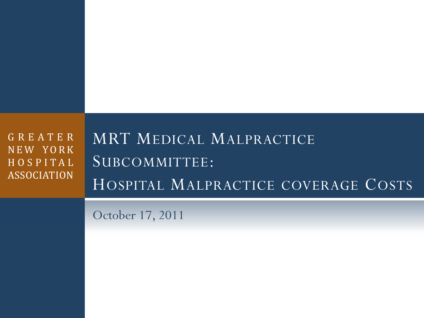| GREATER<br>NEW YORK<br>HOSPITAL<br><b>ASSOCIATION</b> | MRT MEDICAL MALPRACTICE<br>SUBCOMMITTEE:<br>HOSPITAL MALPRACTICE COVERAGE COSTS |
|-------------------------------------------------------|---------------------------------------------------------------------------------|
|                                                       | October 17, 2011                                                                |
|                                                       |                                                                                 |
|                                                       |                                                                                 |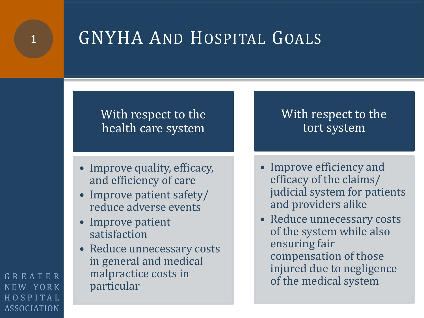

### With respect to the health care system

- Improve quality, efficacy, and efficiency of care
- Improve patient safety/ reduce adverse events
- Improve patient satisfaction
- Reduce unnecessary costs in general and medical malpractice costs in particular

### With respect to the tort system

- Improve efficiency and efficacy of the claims/ judicial system for patients and providers alike
- Reduce unnecessary costs of the system while also ensuring fair compensation of those injured due to negligence of the medical system

GREATER NEW YORK HOSPITAL ASSOCIATION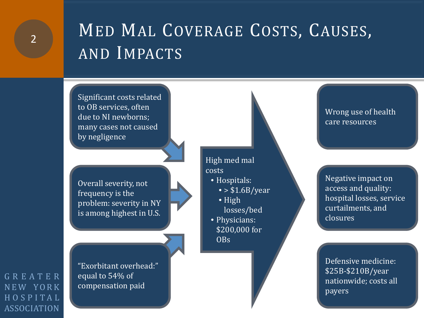### MED MAL COVERAGE COSTS, CAUSES, AND IMPACTS

Significant costs related to OB services, often due to NI newborns; many cases not caused by negligence

Overall severity, not frequency is the problem: severity in NY is among highest in U.S.

"Exorbitant overhead:" equal to 54% of compensation paid

High med mal costs

- Hospitals:
	- $\bullet$  > \$1.6B/year
	- High losses/bed
- Physicians: \$200,000 for OBs

Wrong use of health care resources

Negative impact on access and quality: hospital losses, service curtailments, and closures

Defensive medicine: \$25B-\$210B/year nationwide; costs all payers

GREATER NEW YORK HOSPITAL ASSOCIATION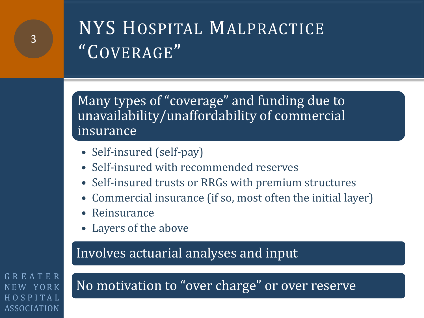## NYS HOSPITAL MALPRACTICE "COVERAGE"

Many types of "coverage" and funding due to unavailability/unaffordability of commercial insurance

- Self-insured (self-pay)
- Self-insured with recommended reserves
- Self-insured trusts or RRGs with premium structures
- Commercial insurance (if so, most often the initial layer)
- **Reinsurance**
- Layers of the above

### Involves actuarial analyses and input

GREATER NEW YORK HOSPITAL ASSOCIATION

No motivation to "over charge" or over reserve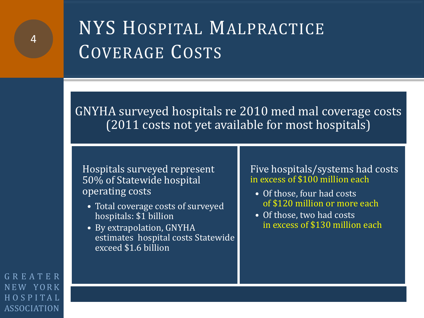## NYS HOSPITAL MALPRACTICE COVERAGE COSTS

GNYHA surveyed hospitals re 2010 med mal coverage costs (2011 costs not yet available for most hospitals)

Hospitals surveyed represent 50% of Statewide hospital operating costs

- Total coverage costs of surveyed hospitals: \$1 billion
- By extrapolation, GNYHA estimates hospital costs Statewide exceed \$1.6 billion

#### Five hospitals/systems had costs in excess of \$100 million each

- Of those, four had costs of \$120 million or more each
- Of those, two had costs in excess of \$130 million each

GREATER NEW YORK HOSPITAL ASSOCIATION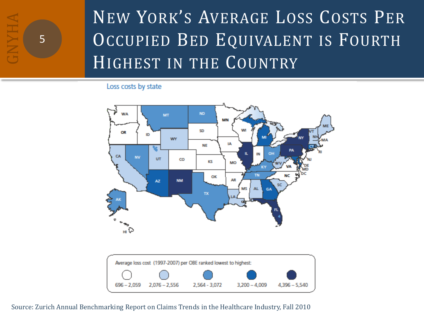

## NEW YORK'S AVERAGE LOSS COSTS PER OCCUPIED BED EQUIVALENT IS FOURTH HIGHEST IN THE COUNTRY

Loss costs by state





Source: Zurich Annual Benchmarking Report on Claims Trends in the Healthcare Industry, Fall 2010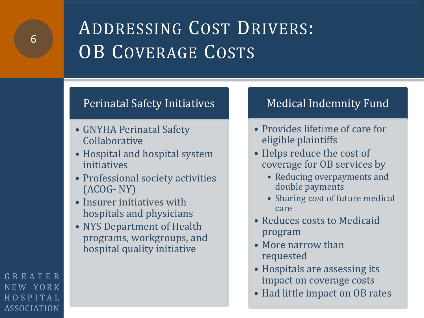## ADDRESSING COST DRIVERS: OB COVERAGE COSTS

#### Perinatal Safety Initiatives

- GNYHA Perinatal Safety Collaborative
- Hospital and hospital system initiatives
- Professional society activities (ACOG- NY)
- Insurer initiatives with hospitals and physicians
- NYS Department of Health programs, workgroups, and hospital quality initiative

### Medical Indemnity Fund

- Provides lifetime of care for eligible plaintiffs
- Helps reduce the cost of coverage for OB services by
	- Reducing overpayments and double payments
	- Sharing cost of future medical care
- Reduces costs to Medicaid program
- More narrow than requested
- Hospitals are assessing its impact on coverage costs
- Had little impact on OB rates

GREATER NEW YORK HOSPITAL ASSOCIATION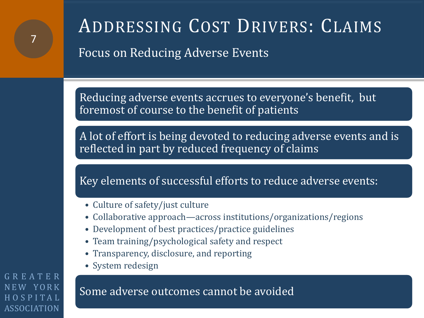# ADDRESSING COST DRIVERS: CLAIMS

Focus on Reducing Adverse Events

Reducing adverse events accrues to everyone's benefit, but foremost of course to the benefit of patients

A lot of effort is being devoted to reducing adverse events and is reflected in part by reduced frequency of claims

Key elements of successful efforts to reduce adverse events:

- Culture of safety/just culture
- Collaborative approach—across institutions/organizations/regions
- Development of best practices/practice guidelines
- Team training/psychological safety and respect
- Transparency, disclosure, and reporting
- System redesign

GREATER YORK HOSPITAL ASSOCIATION

7

Some adverse outcomes cannot be avoided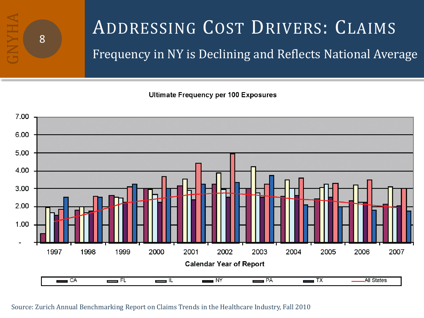

## ADDRESSING COST DRIVERS: CLAIMS Frequency in NY is Declining and Reflects National Average

**Ultimate Frequency per 100 Exposures** 



#### Source: Zurich Annual Benchmarking Report on Claims Trends in the Healthcare Industry, Fall 2010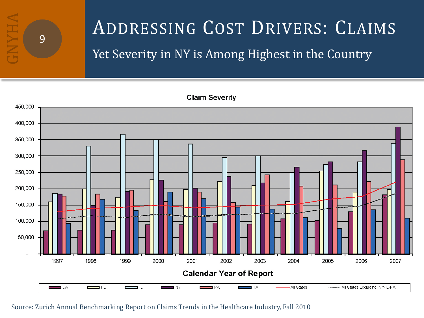

## ADDRESSING COST DRIVERS: CLAIMS Yet Severity in NY is Among Highest in the Country

**Claim Severity** 



#### Source: Zurich Annual Benchmarking Report on Claims Trends in the Healthcare Industry, Fall 2010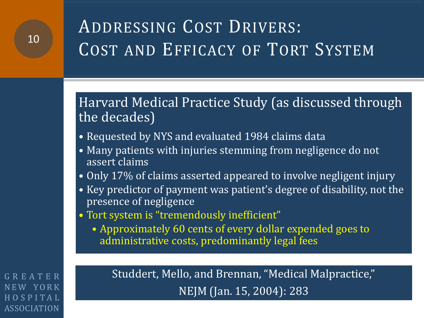### Harvard Medical Practice Study (as discussed through the decades)

- Requested by NYS and evaluated 1984 claims data
- Many patients with injuries stemming from negligence do not assert claims
- Only 17% of claims asserted appeared to involve negligent injury
- Key predictor of payment was patient's degree of disability, not the presence of negligence
- Tort system is "tremendously inefficient"
	- Approximately 60 cents of every dollar expended goes to administrative costs, predominantly legal fees

GREATER NEW YORK HOSPITAL ASSOCIATION

Studdert, Mello, and Brennan, "Medical Malpractice," NEJM (Jan. 15, 2004): 283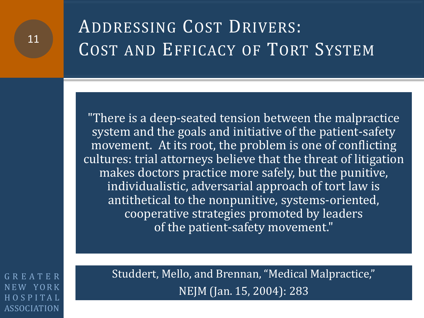"There is a deep-seated tension between the malpractice system and the goals and initiative of the patient-safety movement. At its root, the problem is one of conflicting cultures: trial attorneys believe that the threat of litigation makes doctors practice more safely, but the punitive, individualistic, adversarial approach of tort law is antithetical to the nonpunitive, systems-oriented, cooperative strategies promoted by leaders of the patient-safety movement."

GREATER NEW YORK HOSPITAL ASSOCIATION

Studdert, Mello, and Brennan, "Medical Malpractice," NEJM (Jan. 15, 2004): 283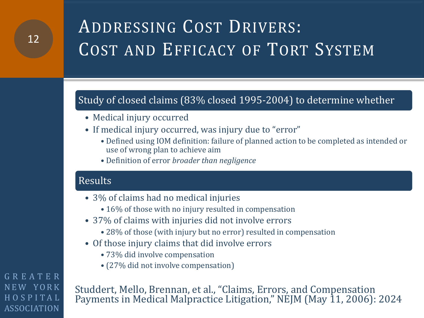#### Study of closed claims (83% closed 1995-2004) to determine whether

- Medical injury occurred
- If medical injury occurred, was injury due to "error"
	- Defined using IOM definition: failure of planned action to be completed as intended or use of wrong plan to achieve aim
	- Definition of error *broader than negligence*

#### Results

- 3% of claims had no medical injuries
	- 16% of those with no injury resulted in compensation
- 37% of claims with injuries did not involve errors
	- 28% of those (with injury but no error) resulted in compensation
- Of those injury claims that did involve errors
	- 73% did involve compensation
	- (27% did not involve compensation)

Studdert, Mello, Brennan, et al., "Claims, Errors, and Compensation Payments in Medical Malpractice Litigation," NEJM (May 11, 2006): 2024

GREATER NEW YORK HOSPITAL ASSOCIATION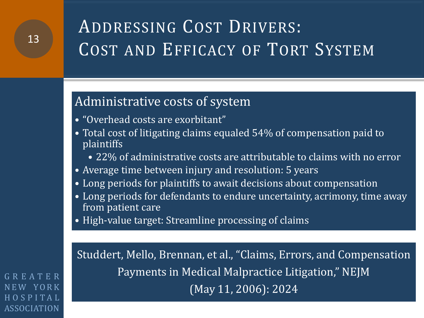### Administrative costs of system

- "Overhead costs are exorbitant"
- Total cost of litigating claims equaled 54% of compensation paid to plaintiffs
	- 22% of administrative costs are attributable to claims with no error
- Average time between injury and resolution: 5 years
- Long periods for plaintiffs to await decisions about compensation
- Long periods for defendants to endure uncertainty, acrimony, time away from patient care
- High-value target: Streamline processing of claims

Studdert, Mello, Brennan, et al., "Claims, Errors, and Compensation Payments in Medical Malpractice Litigation," NEJM (May 11, 2006): 2024

GREATER NEW YORK HOSPITAL ASSOCIATION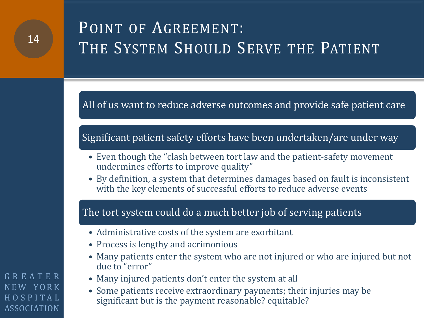### POINT OF AGREEMENT: THE SYSTEM SHOULD SERVE THE PATIENT

All of us want to reduce adverse outcomes and provide safe patient care

#### Significant patient safety efforts have been undertaken/are under way

- Even though the "clash between tort law and the patient-safety movement undermines efforts to improve quality"
- By definition, a system that determines damages based on fault is inconsistent with the key elements of successful efforts to reduce adverse events

#### The tort system could do a much better job of serving patients

- Administrative costs of the system are exorbitant
- Process is lengthy and acrimonious
- Many patients enter the system who are not injured or who are injured but not due to "error"
- Many injured patients don't enter the system at all
- Some patients receive extraordinary payments; their injuries may be significant but is the payment reasonable? equitable?

GREATER NEW YORK HOSPITAL ASSOCIATION